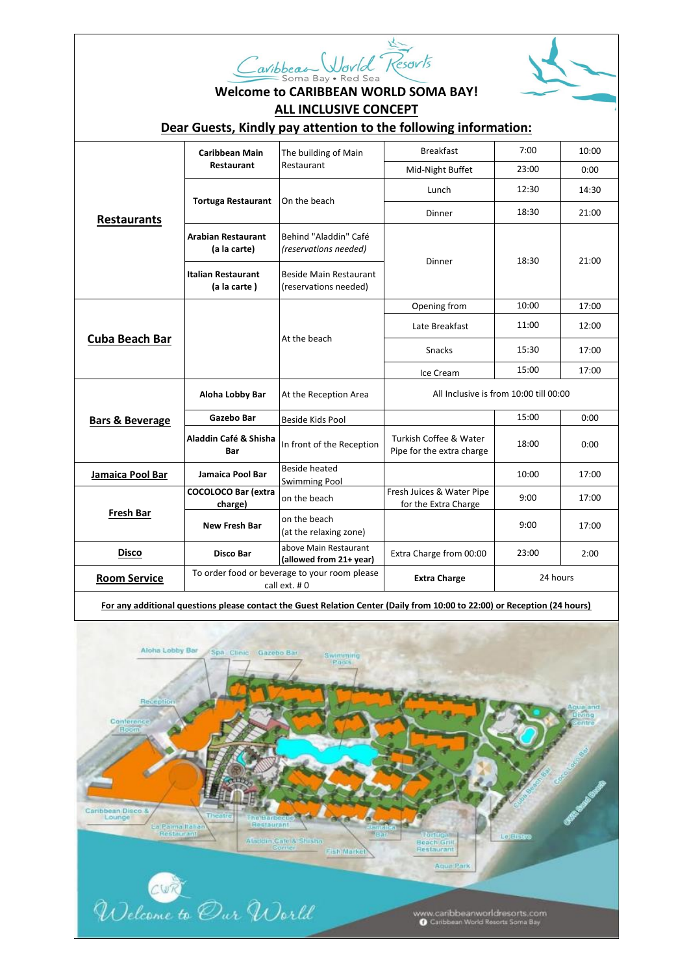| avibbeau World Kesovts |
|------------------------|
| Soma Bay • Red Sea     |



## **Welcome to CARIBBEAN WORLD SOMA BAY! ALL INCLUSIVE CONCEPT**

## **Dear Guests, Kindly pay attention to the following information:**

| <b>Restaurants</b>         | <b>Caribbean Main</b><br>Restaurant                           | The building of Main<br>Restaurant               | <b>Breakfast</b>                                    | 7:00     | 10:00 |
|----------------------------|---------------------------------------------------------------|--------------------------------------------------|-----------------------------------------------------|----------|-------|
|                            |                                                               |                                                  | Mid-Night Buffet                                    | 23:00    | 0:00  |
|                            | <b>Tortuga Restaurant</b>                                     | On the beach                                     | Lunch                                               | 12:30    | 14:30 |
|                            |                                                               |                                                  | Dinner                                              | 18:30    | 21:00 |
|                            | <b>Arabian Restaurant</b><br>(a la carte)                     | Behind "Aladdin" Café<br>(reservations needed)   | Dinner                                              | 18:30    | 21:00 |
|                            | <b>Italian Restaurant</b><br>(a la carte)                     | Beside Main Restaurant<br>(reservations needed)  |                                                     |          |       |
| Cuba Beach Bar             |                                                               | At the beach                                     | Opening from                                        | 10:00    | 17:00 |
|                            |                                                               |                                                  | Late Breakfast                                      | 11:00    | 12:00 |
|                            |                                                               |                                                  | <b>Snacks</b>                                       | 15:30    | 17:00 |
|                            |                                                               |                                                  | Ice Cream                                           | 15:00    | 17:00 |
| <b>Bars &amp; Beverage</b> | Aloha Lobby Bar                                               | At the Reception Area                            | All Inclusive is from 10:00 till 00:00              |          |       |
|                            | Gazebo Bar                                                    | Beside Kids Pool                                 |                                                     | 15:00    | 0:00  |
|                            | Aladdin Café & Shisha<br>Bar                                  | In front of the Reception                        | Turkish Coffee & Water<br>Pipe for the extra charge | 18:00    | 0:00  |
| Jamaica Pool Bar           | Jamaica Pool Bar                                              | <b>Beside heated</b><br><b>Swimming Pool</b>     |                                                     | 10:00    | 17:00 |
| <b>Fresh Bar</b>           | <b>COCOLOCO Bar (extra</b><br>charge)                         | on the beach                                     | Fresh Juices & Water Pipe<br>for the Extra Charge   | 9:00     | 17:00 |
|                            | <b>New Fresh Bar</b>                                          | on the beach<br>(at the relaxing zone)           |                                                     | 9:00     | 17:00 |
| <b>Disco</b>               | Disco Bar                                                     | above Main Restaurant<br>(allowed from 21+ year) | Extra Charge from 00:00                             | 23:00    | 2:00  |
| <b>Room Service</b>        | To order food or beverage to your room please<br>call ext. #0 |                                                  | <b>Extra Charge</b>                                 | 24 hours |       |

**For any additional questions please contact the Guest Relation Center (Daily from 10:00 to 22:00) or Reception (24 hours)**